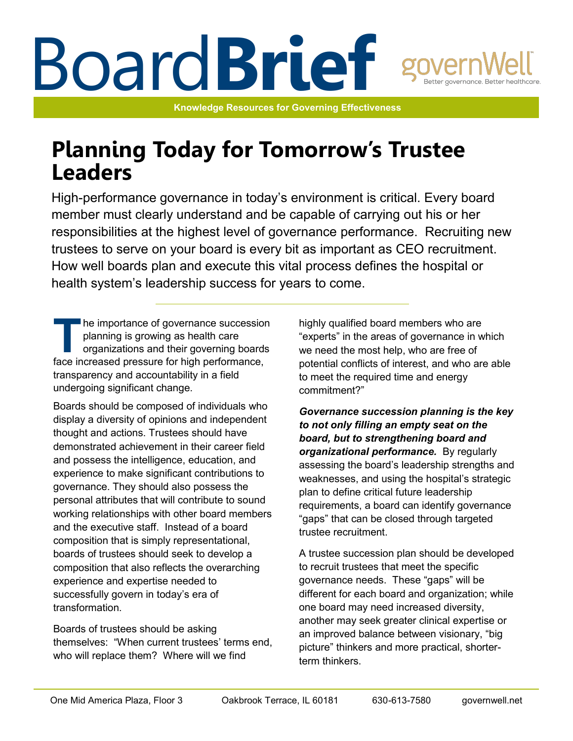# Board**Brief**

**Knowledge Resources for Governing Effectiveness**

# **Planning Today for Tomorrow's Trustee Leaders**

High-performance governance in today's environment is critical. Every board member must clearly understand and be capable of carrying out his or her responsibilities at the highest level of governance performance. Recruiting new trustees to serve on your board is every bit as important as CEO recruitment. How well boards plan and execute this vital process defines the hospital or health system's leadership success for years to come.

The importance of governance succession<br>
planning is growing as health care<br>
organizations and their governing boards<br>
face increased pressure for high performance, he importance of governance succession planning is growing as health care organizations and their governing boards transparency and accountability in a field undergoing significant change.

Boards should be composed of individuals who display a diversity of opinions and independent thought and actions. Trustees should have demonstrated achievement in their career field and possess the intelligence, education, and experience to make significant contributions to governance. They should also possess the personal attributes that will contribute to sound working relationships with other board members and the executive staff. Instead of a board composition that is simply representational, boards of trustees should seek to develop a composition that also reflects the overarching experience and expertise needed to successfully govern in today's era of transformation.

Boards of trustees should be asking themselves: "When current trustees' terms end, who will replace them? Where will we find

highly qualified board members who are "experts" in the areas of governance in which we need the most help, who are free of potential conflicts of interest, and who are able to meet the required time and energy commitment?"

*Governance succession planning is the key to not only filling an empty seat on the board, but to strengthening board and organizational performance.* By regularly assessing the board's leadership strengths and weaknesses, and using the hospital's strategic plan to define critical future leadership requirements, a board can identify governance "gaps" that can be closed through targeted trustee recruitment.

A trustee succession plan should be developed to recruit trustees that meet the specific governance needs. These "gaps" will be different for each board and organization; while one board may need increased diversity, another may seek greater clinical expertise or an improved balance between visionary, "big picture" thinkers and more practical, shorterterm thinkers.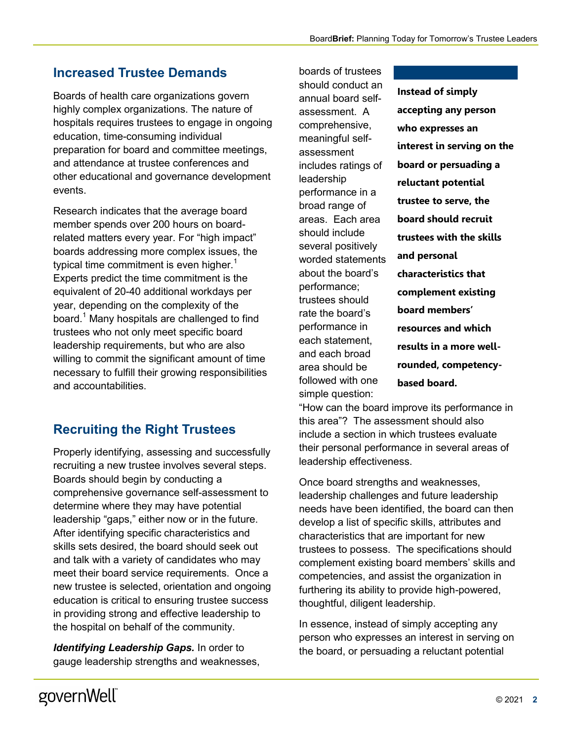## **Increased Trustee Demands**

Boards of health care organizations govern highly complex organizations. The nature of hospitals requires trustees to engage in ongoing education, time-consuming individual preparation for board and committee meetings, and attendance at trustee conferences and other educational and governance development events.

Research indicates that the average board member spends over 200 hours on boardrelated matters every year. For "high impact" boards addressing more complex issues, the typical time commitment is even higher.<sup>1</sup> Experts predict the time commitment is the equivalent of 20-40 additional workdays per year, depending on the complexity of the board.<sup>1</sup> Many hospitals are challenged to find trustees who not only meet specific board leadership requirements, but who are also willing to commit the significant amount of time necessary to fulfill their growing responsibilities and accountabilities.

## **Recruiting the Right Trustees**

Properly identifying, assessing and successfully recruiting a new trustee involves several steps. Boards should begin by conducting a comprehensive governance self-assessment to determine where they may have potential leadership "gaps," either now or in the future. After identifying specific characteristics and skills sets desired, the board should seek out and talk with a variety of candidates who may meet their board service requirements. Once a new trustee is selected, orientation and ongoing education is critical to ensuring trustee success in providing strong and effective leadership to the hospital on behalf of the community.

*Identifying Leadership Gaps. In order to* gauge leadership strengths and weaknesses,

boards of trustees should conduct an annual board selfassessment. A comprehensive, meaningful selfassessment includes ratings of leadership performance in a broad range of areas. Each area should include several positively worded statements about the board's performance; trustees should rate the board's performance in each statement, and each broad area should be followed with one simple question:

**Instead of simply accepting any person who expresses an interest in serving on the board or persuading a reluctant potential trustee to serve, the board should recruit trustees with the skills and personal characteristics that complement existing board members' resources and which results in a more wellrounded, competencybased board.**

"How can the board improve its performance in this area"? The assessment should also include a section in which trustees evaluate their personal performance in several areas of leadership effectiveness.

Once board strengths and weaknesses, leadership challenges and future leadership needs have been identified, the board can then develop a list of specific skills, attributes and characteristics that are important for new trustees to possess. The specifications should complement existing board members' skills and competencies, and assist the organization in furthering its ability to provide high-powered, thoughtful, diligent leadership.

In essence, instead of simply accepting any person who expresses an interest in serving on the board, or persuading a reluctant potential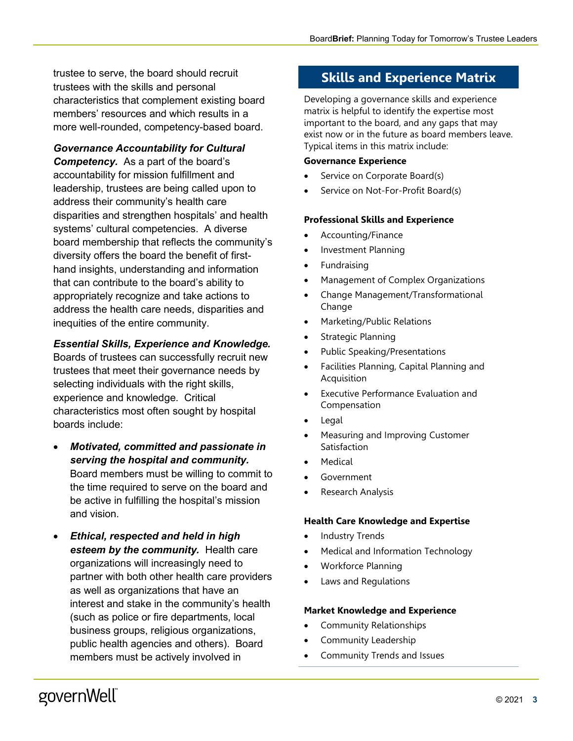trustee to serve, the board should recruit trustees with the skills and personal characteristics that complement existing board members' resources and which results in a more well-rounded, competency-based board.

#### *Governance Accountability for Cultural*

*Competency.* As a part of the board's accountability for mission fulfillment and leadership, trustees are being called upon to address their community's health care disparities and strengthen hospitals' and health systems' cultural competencies. A diverse board membership that reflects the community's diversity offers the board the benefit of firsthand insights, understanding and information that can contribute to the board's ability to appropriately recognize and take actions to address the health care needs, disparities and inequities of the entire community.

#### *Essential Skills, Experience and Knowledge.*

Boards of trustees can successfully recruit new trustees that meet their governance needs by selecting individuals with the right skills, experience and knowledge. Critical characteristics most often sought by hospital boards include:

- *Motivated, committed and passionate in serving the hospital and community.* Board members must be willing to commit to the time required to serve on the board and be active in fulfilling the hospital's mission and vision.
- *Ethical, respected and held in high esteem by the community.* Health care organizations will increasingly need to partner with both other health care providers as well as organizations that have an interest and stake in the community's health (such as police or fire departments, local business groups, religious organizations, public health agencies and others). Board members must be actively involved in

## **Skills and Experience Matrix**

Developing a governance skills and experience matrix is helpful to identify the expertise most important to the board, and any gaps that may exist now or in the future as board members leave. Typical items in this matrix include:

#### **Governance Experience**

- Service on Corporate Board(s)
- Service on Not-For-Profit Board(s)

#### **Professional Skills and Experience**

- Accounting/Finance
- Investment Planning
- Fundraising
- Management of Complex Organizations
- Change Management/Transformational Change
- Marketing/Public Relations
- Strategic Planning
- Public Speaking/Presentations
- Facilities Planning, Capital Planning and **Acquisition**
- Executive Performance Evaluation and Compensation
- Legal
- Measuring and Improving Customer Satisfaction
- **Medical**
- **Government**
- Research Analysis

#### **Health Care Knowledge and Expertise**

- Industry Trends
- Medical and Information Technology
- Workforce Planning
- Laws and Regulations

#### **Market Knowledge and Experience**

- Community Relationships
- Community Leadership
- Community Trends and Issues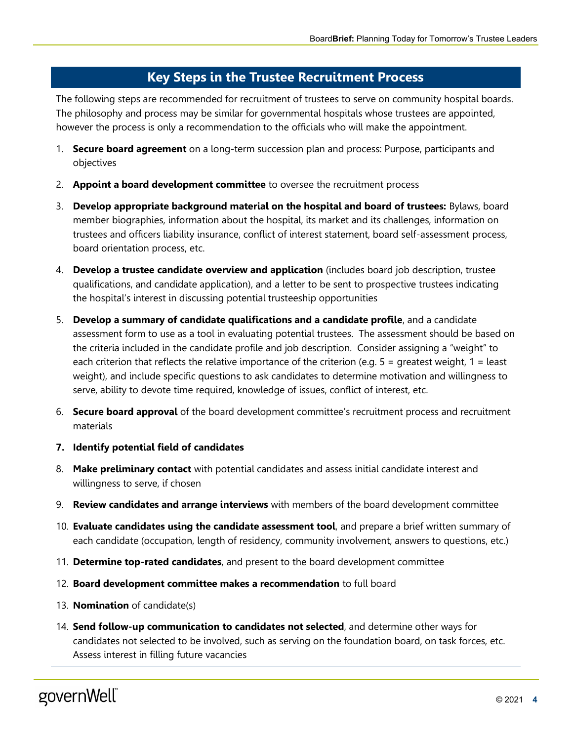## **Key Steps in the Trustee Recruitment Process**

The following steps are recommended for recruitment of trustees to serve on community hospital boards. The philosophy and process may be similar for governmental hospitals whose trustees are appointed, however the process is only a recommendation to the officials who will make the appointment.

- 1. **Secure board agreement** on a long-term succession plan and process: Purpose, participants and objectives
- 2. **Appoint a board development committee** to oversee the recruitment process
- 3. **Develop appropriate background material on the hospital and board of trustees:** Bylaws, board member biographies, information about the hospital, its market and its challenges, information on trustees and officers liability insurance, conflict of interest statement, board self-assessment process, board orientation process, etc.
- 4. **Develop a trustee candidate overview and application** (includes board job description, trustee qualifications, and candidate application), and a letter to be sent to prospective trustees indicating the hospital's interest in discussing potential trusteeship opportunities
- 5. **Develop a summary of candidate qualifications and a candidate profile**, and a candidate assessment form to use as a tool in evaluating potential trustees. The assessment should be based on the criteria included in the candidate profile and job description. Consider assigning a "weight" to each criterion that reflects the relative importance of the criterion (e.g.  $5 =$  greatest weight,  $1 =$  least weight), and include specific questions to ask candidates to determine motivation and willingness to serve, ability to devote time required, knowledge of issues, conflict of interest, etc.
- 6. **Secure board approval** of the board development committee's recruitment process and recruitment materials
- **7. Identify potential field of candidates**
- 8. **Make preliminary contact** with potential candidates and assess initial candidate interest and willingness to serve, if chosen
- 9. **Review candidates and arrange interviews** with members of the board development committee
- 10. **Evaluate candidates using the candidate assessment tool**, and prepare a brief written summary of each candidate (occupation, length of residency, community involvement, answers to questions, etc.)
- 11. **Determine top-rated candidates**, and present to the board development committee
- 12. **Board development committee makes a recommendation** to full board
- 13. **Nomination** of candidate(s)
- 14. **Send follow-up communication to candidates not selected**, and determine other ways for candidates not selected to be involved, such as serving on the foundation board, on task forces, etc. Assess interest in filling future vacancies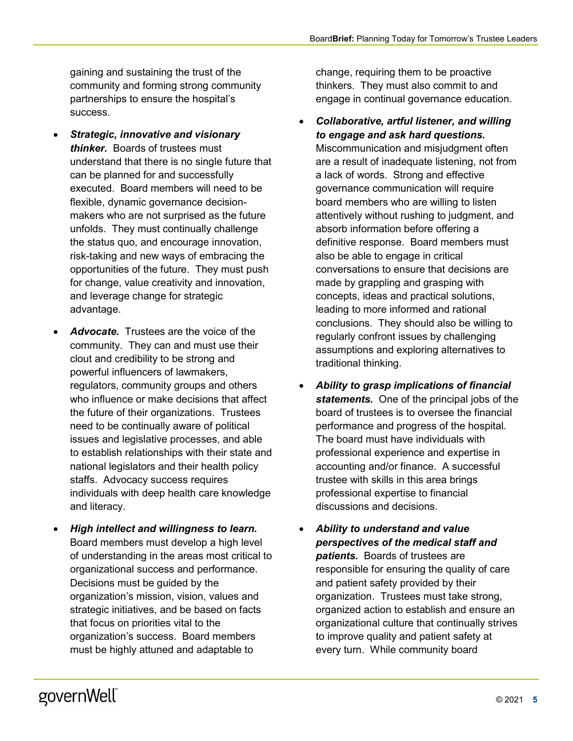gaining and sustaining the trust of the community and forming strong community partnerships to ensure the hospital's success.

- *Strategic, innovative and visionary thinker.* Boards of trustees must understand that there is no single future that can be planned for and successfully executed. Board members will need to be flexible, dynamic governance decisionmakers who are not surprised as the future unfolds. They must continually challenge the status quo, and encourage innovation, risk-taking and new ways of embracing the opportunities of the future. They must push for change, value creativity and innovation, and leverage change for strategic advantage.
- *Advocate.* Trustees are the voice of the community. They can and must use their clout and credibility to be strong and powerful influencers of lawmakers, regulators, community groups and others who influence or make decisions that affect the future of their organizations. Trustees need to be continually aware of political issues and legislative processes, and able to establish relationships with their state and national legislators and their health policy staffs. Advocacy success requires individuals with deep health care knowledge and literacy.
- *High intellect and willingness to learn.* Board members must develop a high level of understanding in the areas most critical to organizational success and performance. Decisions must be guided by the organization's mission, vision, values and strategic initiatives, and be based on facts that focus on priorities vital to the organization's success. Board members must be highly attuned and adaptable to

change, requiring them to be proactive thinkers. They must also commit to and engage in continual governance education.

- *Collaborative, artful listener, and willing to engage and ask hard questions.* Miscommunication and misjudgment often are a result of inadequate listening, not from a lack of words. Strong and effective governance communication will require board members who are willing to listen attentively without rushing to judgment, and absorb information before offering a definitive response. Board members must also be able to engage in critical conversations to ensure that decisions are made by grappling and grasping with concepts, ideas and practical solutions, leading to more informed and rational conclusions. They should also be willing to regularly confront issues by challenging assumptions and exploring alternatives to traditional thinking.
- *Ability to grasp implications of financial statements.* One of the principal jobs of the board of trustees is to oversee the financial performance and progress of the hospital. The board must have individuals with professional experience and expertise in accounting and/or finance. A successful trustee with skills in this area brings professional expertise to financial discussions and decisions.
- *Ability to understand and value perspectives of the medical staff and patients.* Boards of trustees are responsible for ensuring the quality of care and patient safety provided by their organization. Trustees must take strong, organized action to establish and ensure an organizational culture that continually strives to improve quality and patient safety at every turn. While community board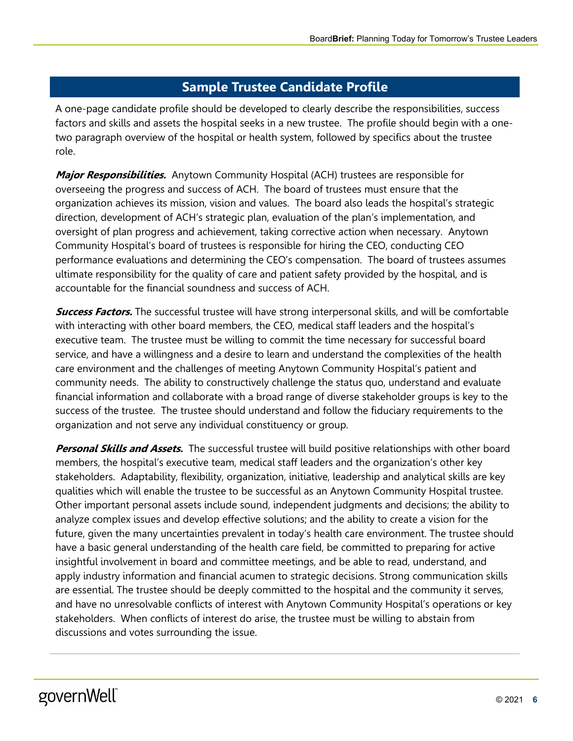## **Sample Trustee Candidate Profile**

A one-page candidate profile should be developed to clearly describe the responsibilities, success factors and skills and assets the hospital seeks in a new trustee. The profile should begin with a onetwo paragraph overview of the hospital or health system, followed by specifics about the trustee role.

**Major Responsibilities.** Anytown Community Hospital (ACH) trustees are responsible for overseeing the progress and success of ACH. The board of trustees must ensure that the organization achieves its mission, vision and values. The board also leads the hospital's strategic direction, development of ACH's strategic plan, evaluation of the plan's implementation, and oversight of plan progress and achievement, taking corrective action when necessary. Anytown Community Hospital's board of trustees is responsible for hiring the CEO, conducting CEO performance evaluations and determining the CEO's compensation. The board of trustees assumes ultimate responsibility for the quality of care and patient safety provided by the hospital, and is accountable for the financial soundness and success of ACH.

**Success Factors.** The successful trustee will have strong interpersonal skills, and will be comfortable with interacting with other board members, the CEO, medical staff leaders and the hospital's executive team. The trustee must be willing to commit the time necessary for successful board service, and have a willingness and a desire to learn and understand the complexities of the health care environment and the challenges of meeting Anytown Community Hospital's patient and community needs. The ability to constructively challenge the status quo, understand and evaluate financial information and collaborate with a broad range of diverse stakeholder groups is key to the success of the trustee. The trustee should understand and follow the fiduciary requirements to the organization and not serve any individual constituency or group.

**Personal Skills and Assets.** The successful trustee will build positive relationships with other board members, the hospital's executive team, medical staff leaders and the organization's other key stakeholders. Adaptability, flexibility, organization, initiative, leadership and analytical skills are key qualities which will enable the trustee to be successful as an Anytown Community Hospital trustee. Other important personal assets include sound, independent judgments and decisions; the ability to analyze complex issues and develop effective solutions; and the ability to create a vision for the future, given the many uncertainties prevalent in today's health care environment. The trustee should have a basic general understanding of the health care field, be committed to preparing for active insightful involvement in board and committee meetings, and be able to read, understand, and apply industry information and financial acumen to strategic decisions. Strong communication skills are essential. The trustee should be deeply committed to the hospital and the community it serves, and have no unresolvable conflicts of interest with Anytown Community Hospital's operations or key stakeholders. When conflicts of interest do arise, the trustee must be willing to abstain from discussions and votes surrounding the issue.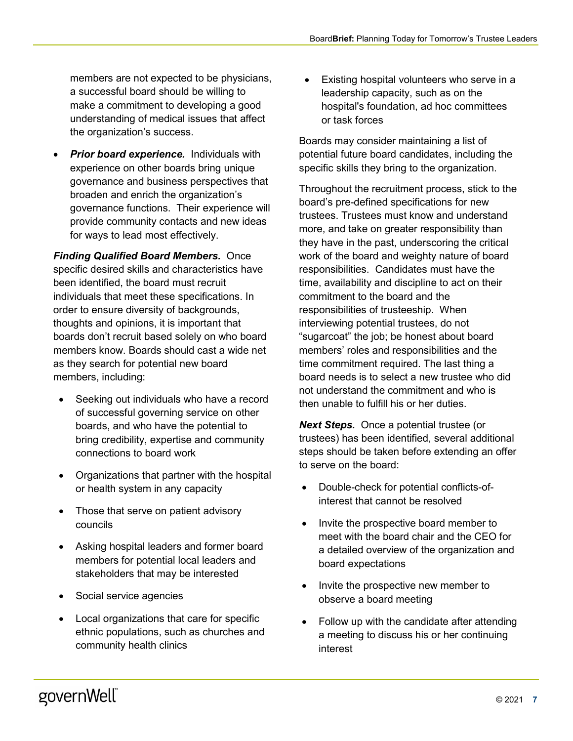members are not expected to be physicians, a successful board should be willing to make a commitment to developing a good understanding of medical issues that affect the organization's success.

**Prior board experience.** Individuals with experience on other boards bring unique governance and business perspectives that broaden and enrich the organization's governance functions. Their experience will provide community contacts and new ideas for ways to lead most effectively.

*Finding Qualified Board Members.* Once specific desired skills and characteristics have been identified, the board must recruit individuals that meet these specifications. In order to ensure diversity of backgrounds, thoughts and opinions, it is important that boards don't recruit based solely on who board members know. Boards should cast a wide net as they search for potential new board members, including:

- Seeking out individuals who have a record of successful governing service on other boards, and who have the potential to bring credibility, expertise and community connections to board work
- Organizations that partner with the hospital or health system in any capacity
- Those that serve on patient advisory councils
- Asking hospital leaders and former board members for potential local leaders and stakeholders that may be interested
- Social service agencies
- Local organizations that care for specific ethnic populations, such as churches and community health clinics

Existing hospital volunteers who serve in a leadership capacity, such as on the hospital's foundation, ad hoc committees or task forces

Boards may consider maintaining a list of potential future board candidates, including the specific skills they bring to the organization.

Throughout the recruitment process, stick to the board's pre-defined specifications for new trustees. Trustees must know and understand more, and take on greater responsibility than they have in the past, underscoring the critical work of the board and weighty nature of board responsibilities. Candidates must have the time, availability and discipline to act on their commitment to the board and the responsibilities of trusteeship. When interviewing potential trustees, do not "sugarcoat" the job; be honest about board members' roles and responsibilities and the time commitment required. The last thing a board needs is to select a new trustee who did not understand the commitment and who is then unable to fulfill his or her duties.

**Next Steps.** Once a potential trustee (or trustees) has been identified, several additional steps should be taken before extending an offer to serve on the board:

- Double-check for potential conflicts-ofinterest that cannot be resolved
- Invite the prospective board member to meet with the board chair and the CEO for a detailed overview of the organization and board expectations
- Invite the prospective new member to observe a board meeting
- Follow up with the candidate after attending a meeting to discuss his or her continuing interest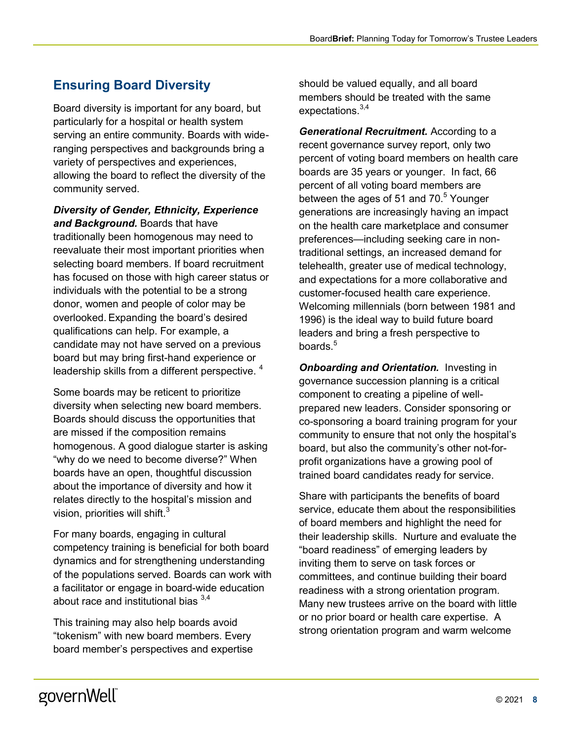## **Ensuring Board Diversity**

Board diversity is important for any board, but particularly for a hospital or health system serving an entire community. Boards with wideranging perspectives and backgrounds bring a variety of perspectives and experiences, allowing the board to reflect the diversity of the community served.

#### *Diversity of Gender, Ethnicity, Experience and Background.* Boards that have

traditionally been homogenous may need to reevaluate their most important priorities when selecting board members. If board recruitment has focused on those with high career status or individuals with the potential to be a strong donor, women and people of color may be overlooked. Expanding the board's desired qualifications can help. For example, a candidate may not have served on a previous board but may bring first-hand experience or leadership skills from a different perspective. <sup>4</sup>

Some boards may be reticent to prioritize diversity when selecting new board members. Boards should discuss the opportunities that are missed if the composition remains homogenous. A good dialogue starter is asking "why do we need to become diverse?" When boards have an open, thoughtful discussion about the importance of diversity and how it relates directly to the hospital's mission and vision, priorities will shift. $3$ 

For many boards, engaging in cultural competency training is beneficial for both board dynamics and for strengthening understanding of the populations served. Boards can work with a facilitator or engage in board-wide education about race and institutional bias  $3,4$ 

This training may also help boards avoid "tokenism" with new board members. Every board member's perspectives and expertise

should be valued equally, and all board members should be treated with the same expectations.<sup>3,4</sup>

*Generational Recruitment.* According to a recent governance survey report, only two percent of voting board members on health care boards are 35 years or younger. In fact, 66 percent of all voting board members are between the ages of 51 and  $70<sup>5</sup>$  Younger generations are increasingly having an impact on the health care marketplace and consumer preferences—including seeking care in nontraditional settings, an increased demand for telehealth, greater use of medical technology, and expectations for a more collaborative and customer-focused health care experience. Welcoming millennials (born between 1981 and 1996) is the ideal way to build future board leaders and bring a fresh perspective to boards.<sup>5</sup>

**Onboarding and Orientation.** Investing in governance succession planning is a critical component to creating a pipeline of wellprepared new leaders. Consider sponsoring or co-sponsoring a board training program for your community to ensure that not only the hospital's board, but also the community's other not-forprofit organizations have a growing pool of trained board candidates ready for service.

Share with participants the benefits of board service, educate them about the responsibilities of board members and highlight the need for their leadership skills. Nurture and evaluate the "board readiness" of emerging leaders by inviting them to serve on task forces or committees, and continue building their board readiness with a strong orientation program. Many new trustees arrive on the board with little or no prior board or health care expertise. A strong orientation program and warm welcome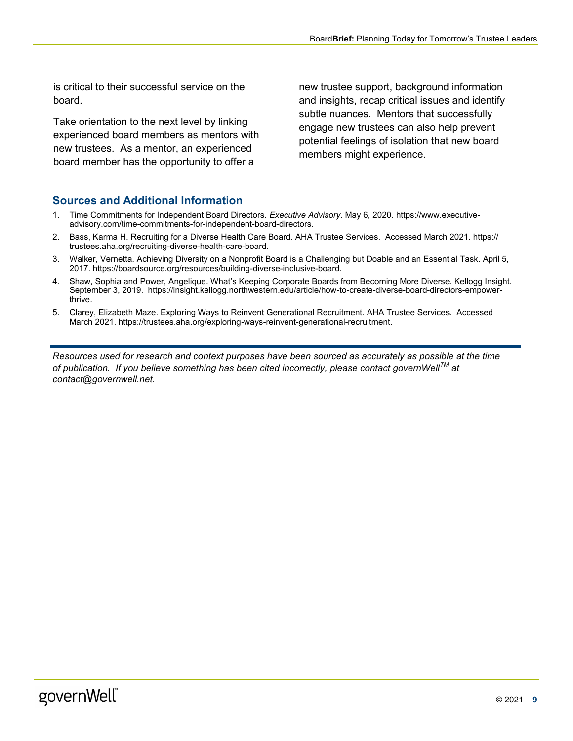is critical to their successful service on the board.

Take orientation to the next level by linking experienced board members as mentors with new trustees. As a mentor, an experienced board member has the opportunity to offer a

new trustee support, background information and insights, recap critical issues and identify subtle nuances. Mentors that successfully engage new trustees can also help prevent potential feelings of isolation that new board members might experience.

### **Sources and Additional Information**

- 1. Time Commitments for Independent Board Directors. *Executive Advisory*. May 6, 2020. https://www.executiveadvisory.com/time-commitments-for-independent-board-directors.
- 2. Bass, Karma H. Recruiting for a Diverse Health Care Board. AHA Trustee Services. Accessed March 2021. https:// trustees.aha.org/recruiting-diverse-health-care-board.
- 3. Walker, Vernetta. Achieving Diversity on a Nonprofit Board is a Challenging but Doable and an Essential Task. April 5, 2017. https://boardsource.org/resources/building-diverse-inclusive-board.
- 4. Shaw, Sophia and Power, Angelique. What's Keeping Corporate Boards from Becoming More Diverse. Kellogg Insight. September 3, 2019. https://insight.kellogg.northwestern.edu/article/how-to-create-diverse-board-directors-empowerthrive.
- 5. Clarey, Elizabeth Maze. Exploring Ways to Reinvent Generational Recruitment. AHA Trustee Services. Accessed March 2021. https://trustees.aha.org/exploring-ways-reinvent-generational-recruitment.

*Resources used for research and context purposes have been sourced as accurately as possible at the time of publication. If you believe something has been cited incorrectly, please contact governWellTM at contact@governwell.net.*